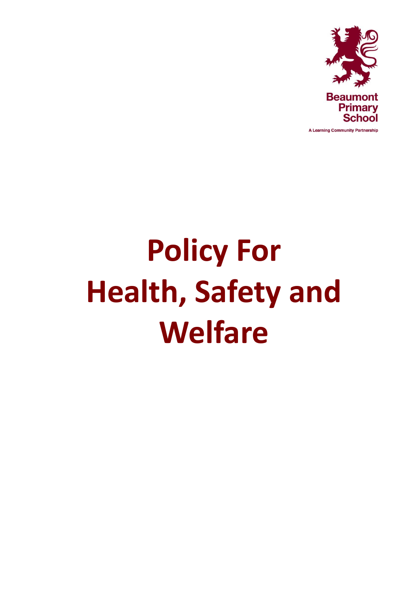

**Policy For Health, Safety and Welfare**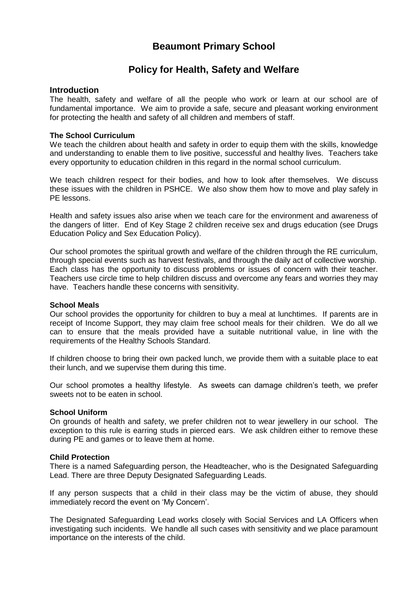# **Beaumont Primary School**

## **Policy for Health, Safety and Welfare**

#### **Introduction**

The health, safety and welfare of all the people who work or learn at our school are of fundamental importance. We aim to provide a safe, secure and pleasant working environment for protecting the health and safety of all children and members of staff.

#### **The School Curriculum**

We teach the children about health and safety in order to equip them with the skills, knowledge and understanding to enable them to live positive, successful and healthy lives. Teachers take every opportunity to education children in this regard in the normal school curriculum.

We teach children respect for their bodies, and how to look after themselves. We discuss these issues with the children in PSHCE. We also show them how to move and play safely in PE lessons.

Health and safety issues also arise when we teach care for the environment and awareness of the dangers of litter. End of Key Stage 2 children receive sex and drugs education (see Drugs Education Policy and Sex Education Policy).

Our school promotes the spiritual growth and welfare of the children through the RE curriculum, through special events such as harvest festivals, and through the daily act of collective worship. Each class has the opportunity to discuss problems or issues of concern with their teacher. Teachers use circle time to help children discuss and overcome any fears and worries they may have. Teachers handle these concerns with sensitivity.

#### **School Meals**

Our school provides the opportunity for children to buy a meal at lunchtimes. If parents are in receipt of Income Support, they may claim free school meals for their children. We do all we can to ensure that the meals provided have a suitable nutritional value, in line with the requirements of the Healthy Schools Standard.

If children choose to bring their own packed lunch, we provide them with a suitable place to eat their lunch, and we supervise them during this time.

Our school promotes a healthy lifestyle. As sweets can damage children's teeth, we prefer sweets not to be eaten in school.

## **School Uniform**

On grounds of health and safety, we prefer children not to wear jewellery in our school. The exception to this rule is earring studs in pierced ears. We ask children either to remove these during PE and games or to leave them at home.

#### **Child Protection**

There is a named Safeguarding person, the Headteacher, who is the Designated Safeguarding Lead. There are three Deputy Designated Safeguarding Leads.

If any person suspects that a child in their class may be the victim of abuse, they should immediately record the event on 'My Concern'.

The Designated Safeguarding Lead works closely with Social Services and LA Officers when investigating such incidents. We handle all such cases with sensitivity and we place paramount importance on the interests of the child.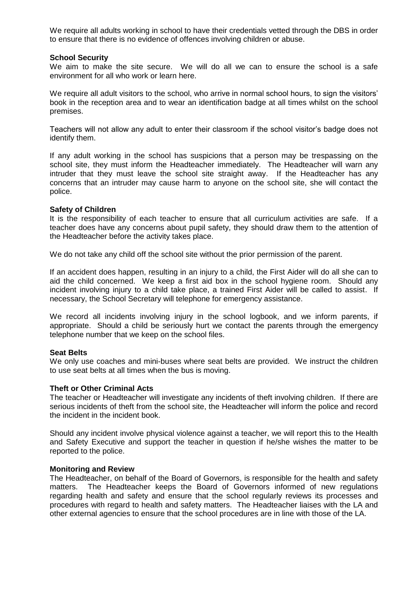We require all adults working in school to have their credentials vetted through the DBS in order to ensure that there is no evidence of offences involving children or abuse.

#### **School Security**

We aim to make the site secure. We will do all we can to ensure the school is a safe environment for all who work or learn here.

We require all adult visitors to the school, who arrive in normal school hours, to sign the visitors' book in the reception area and to wear an identification badge at all times whilst on the school premises.

Teachers will not allow any adult to enter their classroom if the school visitor's badge does not identify them.

If any adult working in the school has suspicions that a person may be trespassing on the school site, they must inform the Headteacher immediately. The Headteacher will warn any intruder that they must leave the school site straight away. If the Headteacher has any concerns that an intruder may cause harm to anyone on the school site, she will contact the police.

#### **Safety of Children**

It is the responsibility of each teacher to ensure that all curriculum activities are safe. If a teacher does have any concerns about pupil safety, they should draw them to the attention of the Headteacher before the activity takes place.

We do not take any child off the school site without the prior permission of the parent.

If an accident does happen, resulting in an injury to a child, the First Aider will do all she can to aid the child concerned. We keep a first aid box in the school hygiene room. Should any incident involving injury to a child take place, a trained First Aider will be called to assist. If necessary, the School Secretary will telephone for emergency assistance.

We record all incidents involving injury in the school logbook, and we inform parents, if appropriate. Should a child be seriously hurt we contact the parents through the emergency telephone number that we keep on the school files.

## **Seat Belts**

We only use coaches and mini-buses where seat belts are provided. We instruct the children to use seat belts at all times when the bus is moving.

## **Theft or Other Criminal Acts**

The teacher or Headteacher will investigate any incidents of theft involving children. If there are serious incidents of theft from the school site, the Headteacher will inform the police and record the incident in the incident book.

Should any incident involve physical violence against a teacher, we will report this to the Health and Safety Executive and support the teacher in question if he/she wishes the matter to be reported to the police.

#### **Monitoring and Review**

The Headteacher, on behalf of the Board of Governors, is responsible for the health and safety matters. The Headteacher keeps the Board of Governors informed of new regulations regarding health and safety and ensure that the school regularly reviews its processes and procedures with regard to health and safety matters. The Headteacher liaises with the LA and other external agencies to ensure that the school procedures are in line with those of the LA.